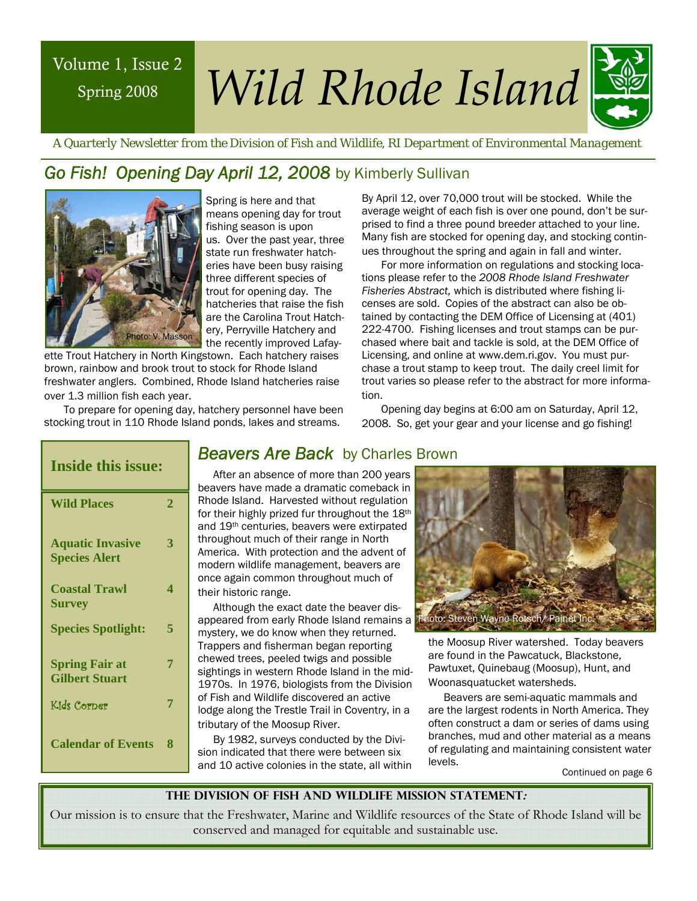## Spring 2008

# Volume 1, Issue 2 *Wild Rhode Island*



 *A Quarterly Newsletter from the Division of Fish and Wildlife, RI Department of Environmental Management* 

## *Go Fish! Opening Day April 12, 2008* by Kimberly Sullivan



Spring is here and that means opening day for trout fishing season is upon us. Over the past year, three state run freshwater hatcheries have been busy raising three different species of trout for opening day. The hatcheries that raise the fish are the Carolina Trout Hatchery, Perryville Hatchery and the recently improved Lafay-

ette Trout Hatchery in North Kingstown. Each hatchery raises brown, rainbow and brook trout to stock for Rhode Island freshwater anglers. Combined, Rhode Island hatcheries raise over 1.3 million fish each year.

To prepare for opening day, hatchery personnel have been stocking trout in 110 Rhode Island ponds, lakes and streams.

By April 12, over 70,000 trout will be stocked. While the average weight of each fish is over one pound, don't be surprised to find a three pound breeder attached to your line. Many fish are stocked for opening day, and stocking continues throughout the spring and again in fall and winter.

For more information on regulations and stocking locations please refer to the *2008 Rhode Island Freshwater Fisheries Abstract,* which is distributed where fishing licenses are sold. Copies of the abstract can also be obtained by contacting the DEM Office of Licensing at (401) 222-4700. Fishing licenses and trout stamps can be purchased where bait and tackle is sold, at the DEM Office of Licensing, and online at www.dem.ri.gov. You must purchase a trout stamp to keep trout. The daily creel limit for trout varies so please refer to the abstract for more information.

Opening day begins at 6:00 am on Saturday, April 12, 2008. So, get your gear and your license and go fishing!

## **Inside this issue: Wild Places** 2 **Aquatic Invasive Species Alert 3 Coastal Trawl Survey 4 Species Spotlight: 5 Spring Fair at Gilbert Stuart 7**  Kids Corner **7**

**Calendar of Events 8** 

## **Beavers Are Back** by Charles Brown

After an absence of more than 200 years beavers have made a dramatic comeback in Rhode Island. Harvested without regulation for their highly prized fur throughout the 18th and 19th centuries, beavers were extirpated throughout much of their range in North America. With protection and the advent of modern wildlife management, beavers are once again common throughout much of their historic range.

Although the exact date the beaver disappeared from early Rhode Island remains a Photo: Steven Wayne Rotsch/ Painet Inc. mystery, we do know when they returned. Trappers and fisherman began reporting chewed trees, peeled twigs and possible sightings in western Rhode Island in the mid-1970s. In 1976, biologists from the Division of Fish and Wildlife discovered an active lodge along the Trestle Trail in Coventry, in a tributary of the Moosup River.

By 1982, surveys conducted by the Division indicated that there were between six and 10 active colonies in the state, all within



the Moosup River watershed. Today beavers are found in the Pawcatuck, Blackstone, Pawtuxet, Quinebaug (Moosup), Hunt, and Woonasquatucket watersheds.

Beavers are semi-aquatic mammals and are the largest rodents in North America. They often construct a dam or series of dams using branches, mud and other material as a means of regulating and maintaining consistent water levels.

Continued on page 6

**The Division of Fish and Wildlife Mission Statement:** 

Our mission is to ensure that the Freshwater, Marine and Wildlife resources of the State of Rhode Island will be conserved and managed for equitable and sustainable use.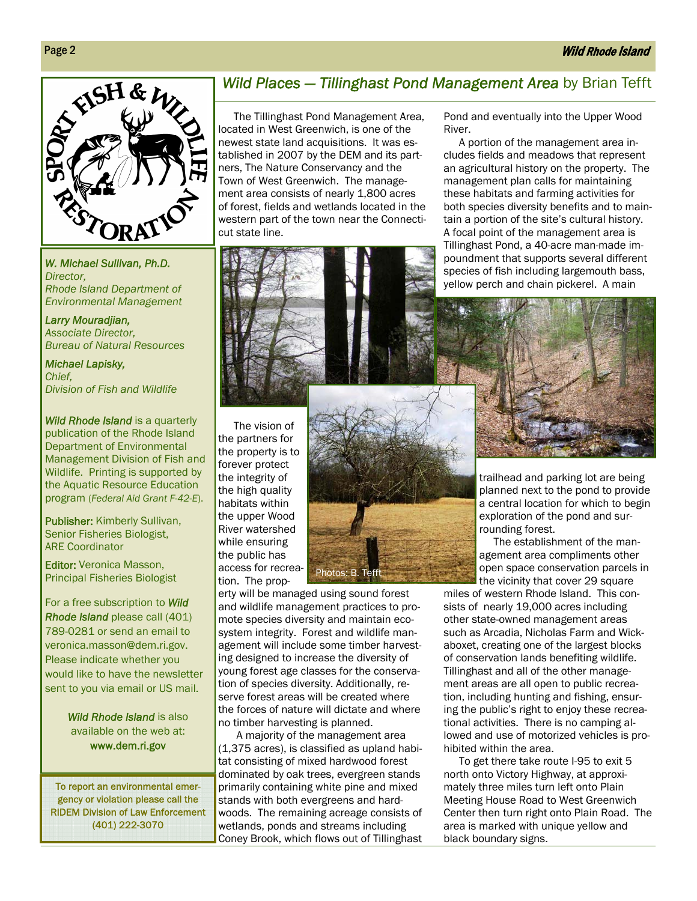

*W. Michael Sullivan, Ph.D. Director, Rhode Island Department of Environmental Management* 

*Larry Mouradjian, Associate Director, Bureau of Natural Resources* 

*Michael Lapisky, Chief, Division of Fish and Wildlife* 

*Wild Rhode Island* is a quarterly publication of the Rhode Island Department of Environmental Management Division of Fish and Wildlife. Printing is supported by the Aquatic Resource Education program (*Federal Aid Grant F-42-E*).

Publisher: Kimberly Sullivan, Senior Fisheries Biologist, ARE Coordinator

Editor: Veronica Masson, Principal Fisheries Biologist

For a free subscription to *Wild Rhode Island* please call (401) 789-0281 or send an email to veronica.masson@dem.ri.gov. Please indicate whether you would like to have the newsletter sent to you via email or US mail.

> *Wild Rhode Island* is also available on the web at: www.dem.ri.gov

To report an environmental emergency or violation please call the RIDEM Division of Law Enforcement (401) 222-3070

#### *Wild Places – Tillinghast Pond Management Area by Brian Tefft*

The Tillinghast Pond Management Area, located in West Greenwich, is one of the newest state land acquisitions. It was established in 2007 by the DEM and its partners, The Nature Conservancy and the Town of West Greenwich. The management area consists of nearly 1,800 acres of forest, fields and wetlands located in the western part of the town near the Connecticut state line.

Pond and eventually into the Upper Wood River.

A portion of the management area includes fields and meadows that represent an agricultural history on the property. The management plan calls for maintaining these habitats and farming activities for both species diversity benefits and to maintain a portion of the site's cultural history. A focal point of the management area is Tillinghast Pond, a 40-acre man-made impoundment that supports several different species of fish including largemouth bass, yellow perch and chain pickerel. A main



The vision of the partners for the property is to forever protect the integrity of the high quality habitats within the upper Wood River watershed while ensuring the public has tion. The prop-

access for recreaerty will be managed using sound forest and wildlife management practices to promote species diversity and maintain ecosystem integrity. Forest and wildlife management will include some timber harvesting designed to increase the diversity of young forest age classes for the conservation of species diversity. Additionally, reserve forest areas will be created where the forces of nature will dictate and where no timber harvesting is planned. Photos: B. Tefft

 A majority of the management area (1,375 acres), is classified as upland habitat consisting of mixed hardwood forest dominated by oak trees, evergreen stands primarily containing white pine and mixed stands with both evergreens and hardwoods. The remaining acreage consists of wetlands, ponds and streams including Coney Brook, which flows out of Tillinghast

trailhead and parking lot are being planned next to the pond to provide a central location for which to begin exploration of the pond and surrounding forest.

 The establishment of the management area compliments other open space conservation parcels in the vicinity that cover 29 square

miles of western Rhode Island. This consists of nearly 19,000 acres including other state-owned management areas such as Arcadia, Nicholas Farm and Wickaboxet, creating one of the largest blocks of conservation lands benefiting wildlife. Tillinghast and all of the other management areas are all open to public recreation, including hunting and fishing, ensuring the public's right to enjoy these recreational activities. There is no camping allowed and use of motorized vehicles is prohibited within the area.

To get there take route I-95 to exit 5 north onto Victory Highway, at approximately three miles turn left onto Plain Meeting House Road to West Greenwich Center then turn right onto Plain Road. The area is marked with unique yellow and black boundary signs.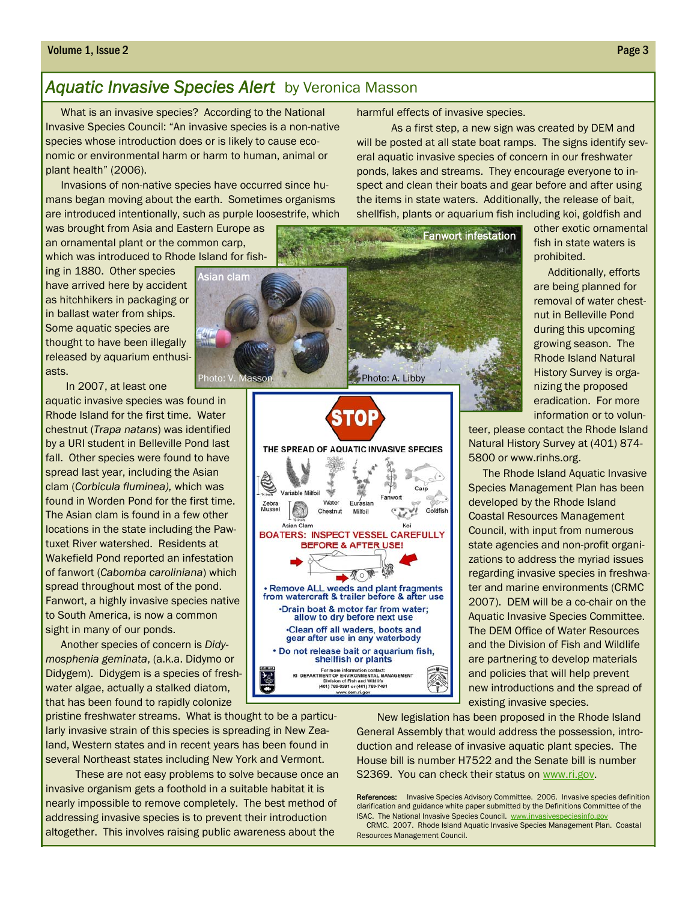#### Volume 1, Issue 2 Page 3

## *Aquatic Invasive Species Alert* by Veronica Masson

What is an invasive species? According to the National Invasive Species Council: "An invasive species is a non-native species whose introduction does or is likely to cause economic or environmental harm or harm to human, animal or plant health" (2006).

Invasions of non-native species have occurred since humans began moving about the earth. Sometimes organisms are introduced intentionally, such as purple loosestrife, which

was brought from Asia and Eastern Europe as an ornamental plant or the common carp, which was introduced to Rhode Island for fish-

ing in 1880. Other species have arrived here by accident as hitchhikers in packaging or in ballast water from ships. Some aquatic species are thought to have been illegally released by aquarium enthusiasts.

In 2007, at least one

aquatic invasive species was found in Rhode Island for the first time. Water chestnut (*Trapa natans*) was identified by a URI student in Belleville Pond last fall. Other species were found to have spread last year, including the Asian clam (*Corbicula fluminea),* which was found in Worden Pond for the first time. The Asian clam is found in a few other locations in the state including the Pawtuxet River watershed. Residents at Wakefield Pond reported an infestation of fanwort (*Cabomba caroliniana*) which spread throughout most of the pond. Fanwort, a highly invasive species native to South America, is now a common sight in many of our ponds.

Another species of concern is *Didymosphenia geminata*, (a.k.a. Didymo or Didygem). Didygem is a species of freshwater algae, actually a stalked diatom, that has been found to rapidly colonize

pristine freshwater streams. What is thought to be a particularly invasive strain of this species is spreading in New Zealand, Western states and in recent years has been found in several Northeast states including New York and Vermont.

These are not easy problems to solve because once an invasive organism gets a foothold in a suitable habitat it is nearly impossible to remove completely. The best method of addressing invasive species is to prevent their introduction altogether. This involves raising public awareness about the

harmful effects of invasive species.

 As a first step, a new sign was created by DEM and will be posted at all state boat ramps. The signs identify sevponds, lakes and streams. They encourage everyone to in-

other exotic ornamental fish in state waters is prohibited.

 Additionally, efforts are being planned for removal of water chestnut in Belleville Pond during this upcoming growing season. The Rhode Island Natural History Survey is organizing the proposed eradication. For more information or to volun-

teer, please contact the Rhode Island Natural History Survey at (401) 874- 5800 or www.rinhs.org.

 The Rhode Island Aquatic Invasive Species Management Plan has been developed by the Rhode Island Coastal Resources Management Council, with input from numerous state agencies and non-profit organizations to address the myriad issues regarding invasive species in freshwater and marine environments (CRMC 2007). DEM will be a co-chair on the Aquatic Invasive Species Committee. The DEM Office of Water Resources and the Division of Fish and Wildlife are partnering to develop materials and policies that will help prevent new introductions and the spread of existing invasive species.

New legislation has been proposed in the Rhode Island General Assembly that would address the possession, introduction and release of invasive aquatic plant species. The House bill is number H7522 and the Senate bill is number S2369. You can check their status on www.ri.gov.

References: Invasive Species Advisory Committee. 2006. Invasive species definition clarification and guidance white paper submitted by the Definitions Committee of the ISAC. The National Invasive Species Council. www.invasivespeciesinfo.gov CRMC. 2007. Rhode Island Aquatic Invasive Species Management Plan. Coastal Resources Management Council.

eral aquatic invasive species of concern in our freshwater spect and clean their boats and gear before and after using the items in state waters. Additionally, the release of bait, shellfish, plants or aquarium fish including koi, goldfish and

Fanwort infestation



gear after use in any waterbody · Do not release bait or aquarium fish, shellfish or plants For more information contact:<br>RI DEPARTMENT OF ENVIRONMENTAL MANAGEMEN<br>Division of Fish and Wildlife<br>(401) 789-0281 or (401) 789-7481 www.dem.ri.go

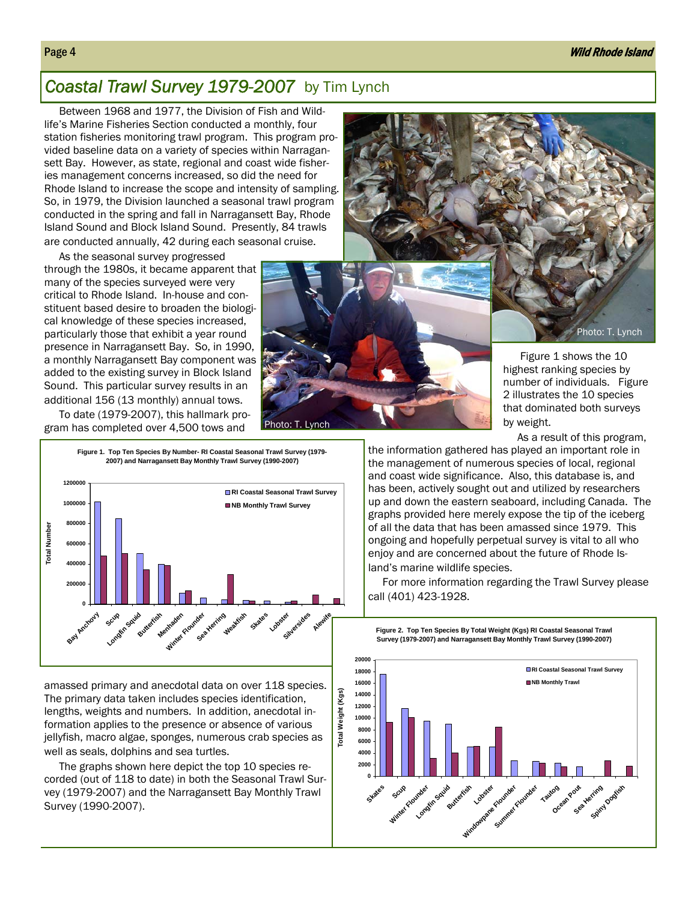## *Coastal Trawl Survey 1979-2007* by Tim Lynch

Between 1968 and 1977, the Division of Fish and Wildlife's Marine Fisheries Section conducted a monthly, four station fisheries monitoring trawl program. This program provided baseline data on a variety of species within Narragansett Bay. However, as state, regional and coast wide fisheries management concerns increased, so did the need for Rhode Island to increase the scope and intensity of sampling. So, in 1979, the Division launched a seasonal trawl program conducted in the spring and fall in Narragansett Bay, Rhode Island Sound and Block Island Sound. Presently, 84 trawls are conducted annually, 42 during each seasonal cruise.

As the seasonal survey progressed through the 1980s, it became apparent that many of the species surveyed were very critical to Rhode Island. In-house and constituent based desire to broaden the biological knowledge of these species increased, particularly those that exhibit a year round presence in Narragansett Bay. So, in 1990, a monthly Narragansett Bay component was added to the existing survey in Block Island Sound. This particular survey results in an additional 156 (13 monthly) annual tows.

To date (1979-2007), this hallmark program has completed over 4,500 tows and



**Figure 1. Top Ten Species By Number- RI Coastal Seasonal Trawl Survey (1979-**

amassed primary and anecdotal data on over 118 species. The primary data taken includes species identification, lengths, weights and numbers. In addition, anecdotal information applies to the presence or absence of various jellyfish, macro algae, sponges, numerous crab species as well as seals, dolphins and sea turtles.

The graphs shown here depict the top 10 species recorded (out of 118 to date) in both the Seasonal Trawl Survey (1979-2007) and the Narragansett Bay Monthly Trawl Survey (1990-2007).



**Total Weight (Kgs)** 

**Total** 

Weight (Kgs)

 Figure 1 shows the 10 highest ranking species by number of individuals. Figure 2 illustrates the 10 species that dominated both surveys by weight.

Photo: T. Lynch

As a result of this program,

the information gathered has played an important role in the management of numerous species of local, regional and coast wide significance. Also, this database is, and has been, actively sought out and utilized by researchers up and down the eastern seaboard, including Canada. The graphs provided here merely expose the tip of the iceberg of all the data that has been amassed since 1979. This ongoing and hopefully perpetual survey is vital to all who enjoy and are concerned about the future of Rhode Island's marine wildlife species.

 For more information regarding the Trawl Survey please call (401) 423-1928.



**Figure 2. Top Ten Species By Total Weight (Kgs) RI Coastal Seasonal Trawl Survey (1979-2007) and Narragansett Bay Monthly Trawl Survey (1990-2007)**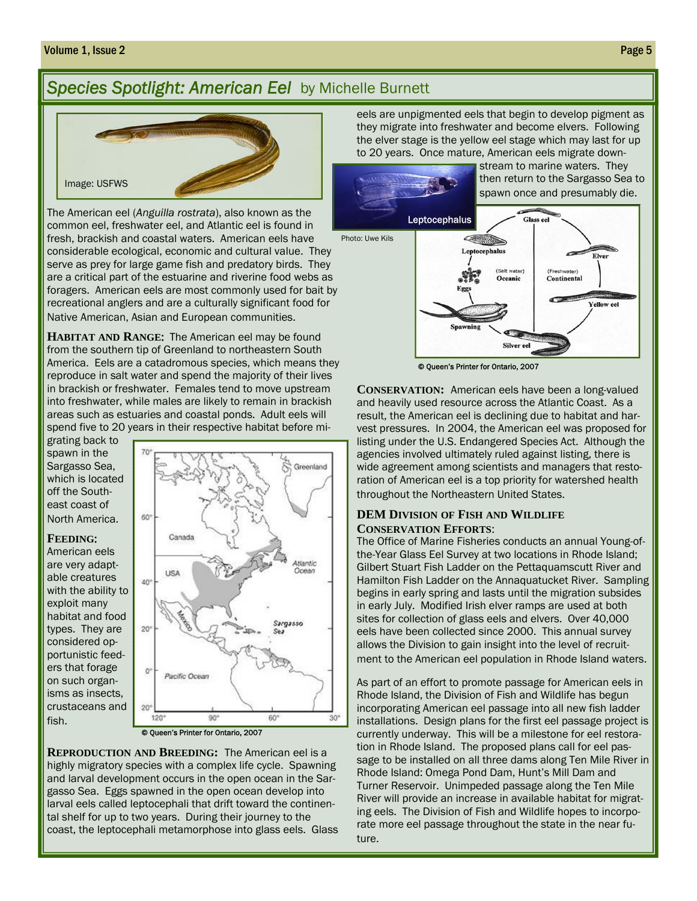#### Volume 1, Issue 2 Page 5

## *Species Spotlight: American Eel* by Michelle Burnett



The American eel (*Anguilla rostrata*), also known as the common eel, freshwater eel, and Atlantic eel is found in fresh, brackish and coastal waters. American eels have considerable ecological, economic and cultural value. They serve as prey for large game fish and predatory birds. They are a critical part of the estuarine and riverine food webs as foragers. American eels are most commonly used for bait by recreational anglers and are a culturally significant food for Native American, Asian and European communities.

**HABITAT AND RANGE**: The American eel may be found from the southern tip of Greenland to northeastern South America. Eels are a catadromous species, which means they reproduce in salt water and spend the majority of their lives in brackish or freshwater. Females tend to move upstream into freshwater, while males are likely to remain in brackish areas such as estuaries and coastal ponds. Adult eels will spend five to 20 years in their respective habitat before mi-

grating back to spawn in the Sargasso Sea, which is located off the Southeast coast of North America.

#### **FEEDING**:

American eels are very adaptable creatures with the ability to exploit many habitat and food types. They are considered opportunistic feeders that forage on such organisms as insects, crustaceans and fish.

i



© Queen's Printer for Ontario, 2007

**REPRODUCTION AND BREEDING:** The American eel is a highly migratory species with a complex life cycle. Spawning and larval development occurs in the open ocean in the Sargasso Sea. Eggs spawned in the open ocean develop into larval eels called leptocephali that drift toward the continental shelf for up to two years. During their journey to the coast, the leptocephali metamorphose into glass eels. Glass

eels are unpigmented eels that begin to develop pigment as they migrate into freshwater and become elvers. Following the elver stage is the yellow eel stage which may last for up to 20 years. Once mature, American eels migrate down-



© Queen's Printer for Ontario, 2007

**CONSERVATION:** American eels have been a long-valued and heavily used resource across the Atlantic Coast. As a result, the American eel is declining due to habitat and harvest pressures. In 2004, the American eel was proposed for listing under the U.S. Endangered Species Act. Although the agencies involved ultimately ruled against listing, there is wide agreement among scientists and managers that restoration of American eel is a top priority for watershed health throughout the Northeastern United States.

#### **DEM DIVISION OF FISH AND WILDLIFE CONSERVATION EFFORTS**:

The Office of Marine Fisheries conducts an annual Young-ofthe-Year Glass Eel Survey at two locations in Rhode Island; Gilbert Stuart Fish Ladder on the Pettaquamscutt River and Hamilton Fish Ladder on the Annaquatucket River. Sampling begins in early spring and lasts until the migration subsides in early July. Modified Irish elver ramps are used at both sites for collection of glass eels and elvers. Over 40,000 eels have been collected since 2000. This annual survey allows the Division to gain insight into the level of recruitment to the American eel population in Rhode Island waters.

As part of an effort to promote passage for American eels in Rhode Island, the Division of Fish and Wildlife has begun incorporating American eel passage into all new fish ladder installations. Design plans for the first eel passage project is currently underway. This will be a milestone for eel restoration in Rhode Island. The proposed plans call for eel passage to be installed on all three dams along Ten Mile River in Rhode Island: Omega Pond Dam, Hunt's Mill Dam and Turner Reservoir. Unimpeded passage along the Ten Mile River will provide an increase in available habitat for migrating eels. The Division of Fish and Wildlife hopes to incorporate more eel passage throughout the state in the near future.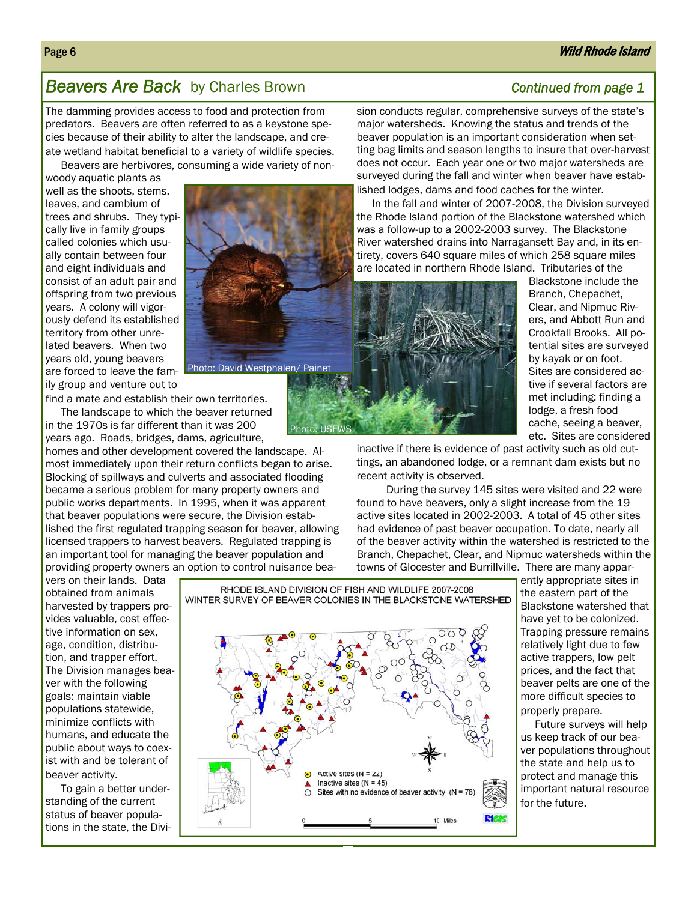#### Wild Rhode Island

## **Beavers Are Back** by Charles Brown **Continued from page 1 Continued from page 1**

The damming provides access to food and protection from predators. Beavers are often referred to as a keystone species because of their ability to alter the landscape, and create wetland habitat beneficial to a variety of wildlife species.

Beavers are herbivores, consuming a wide variety of non-

woody aquatic plants as well as the shoots, stems, leaves, and cambium of trees and shrubs. They typically live in family groups called colonies which usually contain between four and eight individuals and consist of an adult pair and offspring from two previous years. A colony will vigorously defend its established territory from other unrelated beavers. When two years old, young beavers are forced to leave the fam-



ily group and venture out to

find a mate and establish their own territories.

The landscape to which the beaver returned in the 1970s is far different than it was 200 years ago. Roads, bridges, dams, agriculture,

homes and other development covered the landscape. Almost immediately upon their return conflicts began to arise. Blocking of spillways and culverts and associated flooding became a serious problem for many property owners and public works departments. In 1995, when it was apparent that beaver populations were secure, the Division established the first regulated trapping season for beaver, allowing licensed trappers to harvest beavers. Regulated trapping is an important tool for managing the beaver population and providing property owners an option to control nuisance beasion conducts regular, comprehensive surveys of the state's major watersheds. Knowing the status and trends of the beaver population is an important consideration when setting bag limits and season lengths to insure that over-harvest does not occur. Each year one or two major watersheds are surveyed during the fall and winter when beaver have established lodges, dams and food caches for the winter.

In the fall and winter of 2007-2008, the Division surveyed the Rhode Island portion of the Blackstone watershed which was a follow-up to a 2002-2003 survey. The Blackstone River watershed drains into Narragansett Bay and, in its entirety, covers 640 square miles of which 258 square miles are located in northern Rhode Island. Tributaries of the



Blackstone include the Branch, Chepachet, Clear, and Nipmuc Rivers, and Abbott Run and Crookfall Brooks. All potential sites are surveyed by kayak or on foot. Sites are considered active if several factors are met including: finding a lodge, a fresh food cache, seeing a beaver, etc. Sites are considered

inactive if there is evidence of past activity such as old cuttings, an abandoned lodge, or a remnant dam exists but no recent activity is observed.

 During the survey 145 sites were visited and 22 were found to have beavers, only a slight increase from the 19 active sites located in 2002-2003. A total of 45 other sites had evidence of past beaver occupation. To date, nearly all of the beaver activity within the watershed is restricted to the Branch, Chepachet, Clear, and Nipmuc watersheds within the towns of Glocester and Burrillville. There are many appar-

vers on their lands. Data obtained from animals harvested by trappers provides valuable, cost effective information on sex, age, condition, distribution, and trapper effort. The Division manages beaver with the following goals: maintain viable populations statewide, minimize conflicts with humans, and educate the public about ways to coexist with and be tolerant of beaver activity.

To gain a better understanding of the current status of beaver populations in the state, the Divi-



ently appropriate sites in the eastern part of the Blackstone watershed that have yet to be colonized. Trapping pressure remains relatively light due to few active trappers, low pelt prices, and the fact that beaver pelts are one of the more difficult species to properly prepare.

 Future surveys will help us keep track of our beaver populations throughout the state and help us to protect and manage this important natural resource for the future.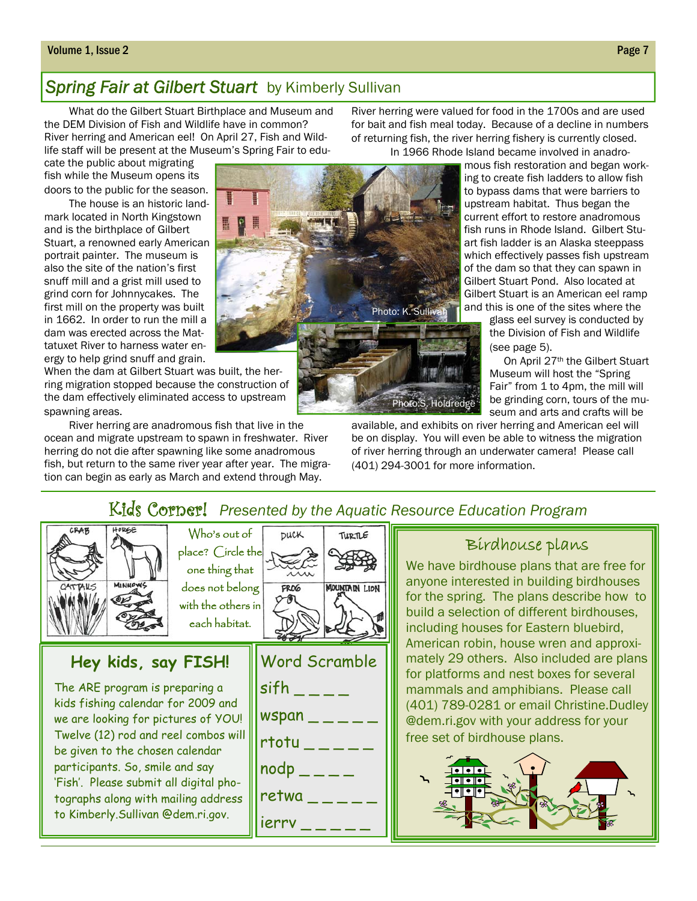#### Volume 1, Issue 2 Page 7

## *Spring Fair at Gilbert Stuart* by Kimberly Sullivan

What do the Gilbert Stuart Birthplace and Museum and the DEM Division of Fish and Wildlife have in common? River herring and American eel! On April 27, Fish and Wildlife staff will be present at the Museum's Spring Fair to edu-

cate the public about migrating fish while the Museum opens its doors to the public for the season.

The house is an historic landmark located in North Kingstown and is the birthplace of Gilbert Stuart, a renowned early American portrait painter. The museum is also the site of the nation's first snuff mill and a grist mill used to grind corn for Johnnycakes. The first mill on the property was built in 1662. In order to run the mill a dam was erected across the Mattatuxet River to harness water energy to help grind snuff and grain.

When the dam at Gilbert Stuart was built, the herring migration stopped because the construction of the dam effectively eliminated access to upstream spawning areas.

River herring are anadromous fish that live in the ocean and migrate upstream to spawn in freshwater. River herring do not die after spawning like some anadromous fish, but return to the same river year after year. The migration can begin as early as March and extend through May.



River herring were valued for food in the 1700s and are used for bait and fish meal today. Because of a decline in numbers of returning fish, the river herring fishery is currently closed.

In 1966 Rhode Island became involved in anadro-

mous fish restoration and began working to create fish ladders to allow fish to bypass dams that were barriers to upstream habitat. Thus began the current effort to restore anadromous fish runs in Rhode Island. Gilbert Stuart fish ladder is an Alaska steeppass which effectively passes fish upstream of the dam so that they can spawn in Gilbert Stuart Pond. Also located at Gilbert Stuart is an American eel ramp and this is one of the sites where the

glass eel survey is conducted by the Division of Fish and Wildlife (see page 5).

 On April 27th the Gilbert Stuart Museum will host the "Spring Fair" from 1 to 4pm, the mill will be grinding corn, tours of the museum and arts and crafts will be

available, and exhibits on river herring and American eel will be on display. You will even be able to witness the migration of river herring through an underwater camera! Please call (401) 294-3001 for more information.

## Kids Corner! *Presented by the Aquatic Resource Education Program*



### Birdhouse plans

We have birdhouse plans that are free for anyone interested in building birdhouses for the spring. The plans describe how to build a selection of different birdhouses, including houses for Eastern bluebird, American robin, house wren and approximately 29 others. Also included are plans for platforms and nest boxes for several mammals and amphibians. Please call (401) 789-0281 or email Christine.Dudley @dem.ri.gov with your address for your free set of birdhouse plans.